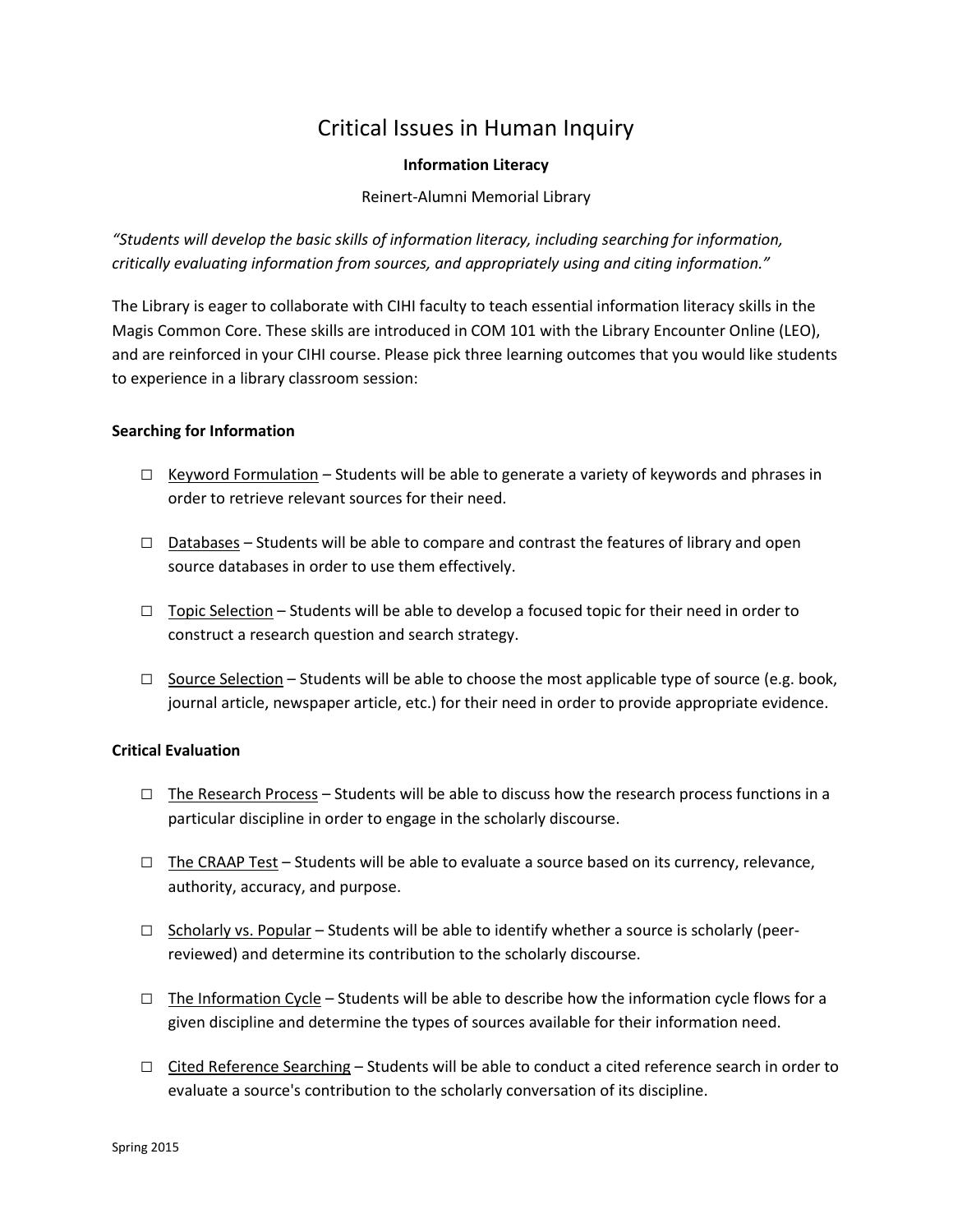# Critical Issues in Human Inquiry

# **Information Literacy**

Reinert-Alumni Memorial Library

*"Students will develop the basic skills of information literacy, including searching for information, critically evaluating information from sources, and appropriately using and citing information."*

The Library is eager to collaborate with CIHI faculty to teach essential information literacy skills in the Magis Common Core. These skills are introduced in COM 101 with the Library Encounter Online (LEO), and are reinforced in your CIHI course. Please pick three learning outcomes that you would like students to experience in a library classroom session:

# **Searching for Information**

- □ Keyword Formulation Students will be able to generate a variety of keywords and phrases in order to retrieve relevant sources for their need.
- □ Databases Students will be able to compare and contrast the features of library and open source databases in order to use them effectively.
- $\Box$  Topic Selection Students will be able to develop a focused topic for their need in order to construct a research question and search strategy.
- $\Box$  Source Selection Students will be able to choose the most applicable type of source (e.g. book, journal article, newspaper article, etc.) for their need in order to provide appropriate evidence.

### **Critical Evaluation**

- $\square$  The Research Process Students will be able to discuss how the research process functions in a particular discipline in order to engage in the scholarly discourse.
- $\Box$  The CRAAP Test Students will be able to evaluate a source based on its currency, relevance, authority, accuracy, and purpose.
- $\Box$  Scholarly vs. Popular Students will be able to identify whether a source is scholarly (peerreviewed) and determine its contribution to the scholarly discourse.
- $\Box$  The Information Cycle Students will be able to describe how the information cycle flows for a given discipline and determine the types of sources available for their information need.
- $\Box$  Cited Reference Searching Students will be able to conduct a cited reference search in order to evaluate a source's contribution to the scholarly conversation of its discipline.